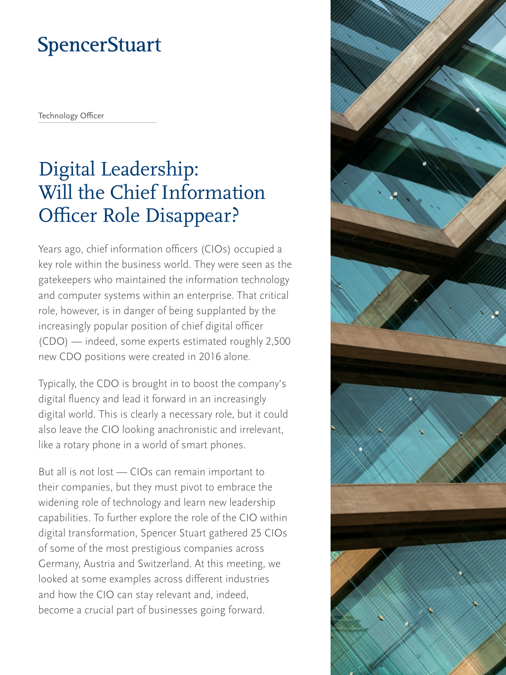# **SpencerStuart**

Technology Officer

# Digital Leadership: Will the Chief Information Officer Role Disappear?

Years ago, chief information officers (CIOs) occupied a key role within the business world. They were seen as the gatekeepers who maintained the information technology and computer systems within an enterprise. That critical role, however, is in danger of being supplanted by the increasingly popular position of chief digital officer (CDO) — indeed, some experts estimated roughly 2,500 new CDO positions were created in 2016 alone.

Typically, the CDO is brought in to boost the company's digital fluency and lead it forward in an increasingly digital world. This is clearly a necessary role, but it could also leave the CIO looking anachronistic and irrelevant, like a rotary phone in a world of smart phones.

But all is not lost — CIOs can remain important to their companies, but they must pivot to embrace the widening role of technology and learn new leadership capabilities. To further explore the role of the CIO within digital transformation, Spencer Stuart gathered 25 CIOs of some of the most prestigious companies across Germany, Austria and Switzerland. At this meeting, we looked at some examples across different industries and how the CIO can stay relevant and, indeed, become a crucial part of businesses going forward.

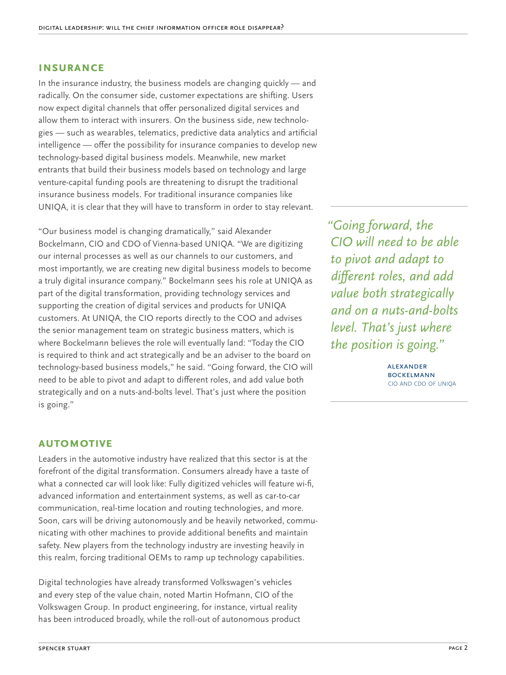#### **INSURANCE**

In the insurance industry, the business models are changing quickly — and radically. On the consumer side, customer expectations are shifting. Users now expect digital channels that offer personalized digital services and allow them to interact with insurers. On the business side, new technologies — such as wearables, telematics, predictive data analytics and artificial intelligence — offer the possibility for insurance companies to develop new technology-based digital business models. Meanwhile, new market entrants that build their business models based on technology and large venture-capital funding pools are threatening to disrupt the traditional insurance business models. For traditional insurance companies like UNIQA, it is clear that they will have to transform in order to stay relevant.

"Our business model is changing dramatically," said Alexander Bockelmann, CIO and CDO of Vienna-based UNIQA. "We are digitizing our internal processes as well as our channels to our customers, and most importantly, we are creating new digital business models to become a truly digital insurance company." Bockelmann sees his role at UNIQA as part of the digital transformation, providing technology services and supporting the creation of digital services and products for UNIQA customers. At UNIQA, the CIO reports directly to the COO and advises the senior management team on strategic business matters, which is where Bockelmann believes the role will eventually land: "Today the CIO is required to think and act strategically and be an adviser to the board on technology-based business models," he said. "Going forward, the CIO will need to be able to pivot and adapt to different roles, and add value both strategically and on a nuts-and-bolts level. That's just where the position is going."

*"Going forward, the CIO will need to be able to pivot and adapt to different roles, and add value both strategically and on a nuts-and-bolts level. That's just where the position is going."*

> alexander **BOCKELMANN** cio and cdo of uniqa

### **Automotive**

Leaders in the automotive industry have realized that this sector is at the forefront of the digital transformation. Consumers already have a taste of what a connected car will look like: Fully digitized vehicles will feature wi-fi, advanced information and entertainment systems, as well as car-to-car communication, real-time location and routing technologies, and more. Soon, cars will be driving autonomously and be heavily networked, communicating with other machines to provide additional benefits and maintain safety. New players from the technology industry are investing heavily in this realm, forcing traditional OEMs to ramp up technology capabilities.

Digital technologies have already transformed Volkswagen's vehicles and every step of the value chain, noted Martin Hofmann, CIO of the Volkswagen Group. In product engineering, for instance, virtual reality has been introduced broadly, while the roll-out of autonomous product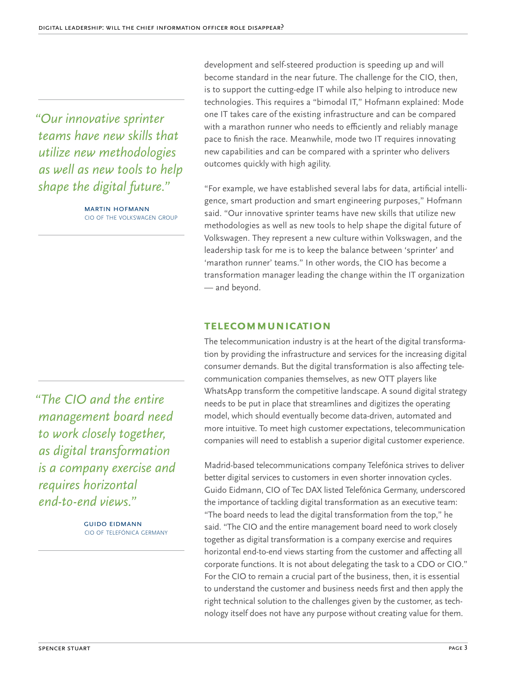*"Our innovative sprinter teams have new skills that utilize new methodologies as well as new tools to help shape the digital future."*

> martin hofmann cio of the volkswagen group

development and self-steered production is speeding up and will become standard in the near future. The challenge for the CIO, then, is to support the cutting-edge IT while also helping to introduce new technologies. This requires a "bimodal IT," Hofmann explained: Mode one IT takes care of the existing infrastructure and can be compared with a marathon runner who needs to efficiently and reliably manage pace to finish the race. Meanwhile, mode two IT requires innovating new capabilities and can be compared with a sprinter who delivers outcomes quickly with high agility.

"For example, we have established several labs for data, artificial intelligence, smart production and smart engineering purposes," Hofmann said. "Our innovative sprinter teams have new skills that utilize new methodologies as well as new tools to help shape the digital future of Volkswagen. They represent a new culture within Volkswagen, and the leadership task for me is to keep the balance between 'sprinter' and 'marathon runner' teams." In other words, the CIO has become a transformation manager leading the change within the IT organization — and beyond.

#### **Telecommunication**

The telecommunication industry is at the heart of the digital transformation by providing the infrastructure and services for the increasing digital consumer demands. But the digital transformation is also affecting telecommunication companies themselves, as new OTT players like WhatsApp transform the competitive landscape. A sound digital strategy needs to be put in place that streamlines and digitizes the operating model, which should eventually become data-driven, automated and more intuitive. To meet high customer expectations, telecommunication companies will need to establish a superior digital customer experience.

Madrid-based telecommunications company Telefónica strives to deliver better digital services to customers in even shorter innovation cycles. Guido Eidmann, CIO of Tec DAX listed Telefónica Germany, underscored the importance of tackling digital transformation as an executive team: "The board needs to lead the digital transformation from the top," he said. "The CIO and the entire management board need to work closely together as digital transformation is a company exercise and requires horizontal end-to-end views starting from the customer and affecting all corporate functions. It is not about delegating the task to a CDO or CIO." For the CIO to remain a crucial part of the business, then, it is essential to understand the customer and business needs first and then apply the right technical solution to the challenges given by the customer, as technology itself does not have any purpose without creating value for them.

*"The CIO and the entire management board need to work closely together, as digital transformation is a company exercise and requires horizontal end-to-end views."*

> guido eidmann cio of telefónica germany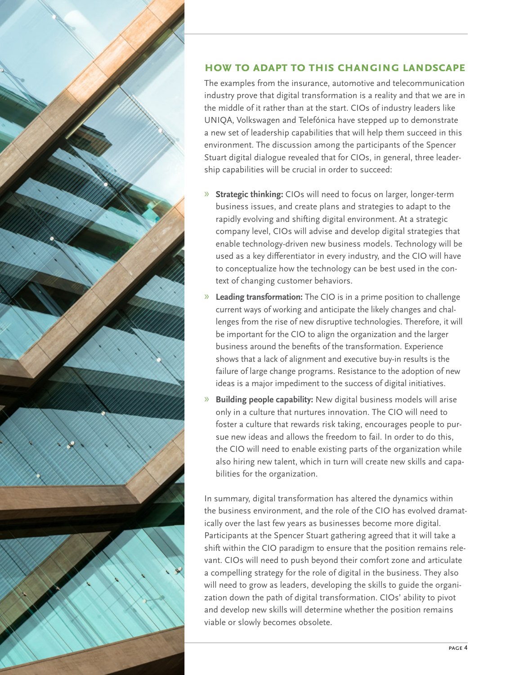



## **How to Adapt to This Changing Landscape**

The examples from the insurance, automotive and telecommunication industry prove that digital transformation is a reality and that we are in the middle of it rather than at the start. CIOs of industry leaders like UNIQA, Volkswagen and Telefónica have stepped up to demonstrate a new set of leadership capabilities that will help them succeed in this environment. The discussion among the participants of the Spencer Stuart digital dialogue revealed that for CIOs, in general, three leadership capabilities will be crucial in order to succeed:

- » **Strategic thinking:** CIOs will need to focus on larger, longer-term business issues, and create plans and strategies to adapt to the rapidly evolving and shifting digital environment. At a strategic company level, CIOs will advise and develop digital strategies that enable technology-driven new business models. Technology will be used as a key differentiator in every industry, and the CIO will have to conceptualize how the technology can be best used in the context of changing customer behaviors.
- » **Leading transformation:** The CIO is in a prime position to challenge current ways of working and anticipate the likely changes and challenges from the rise of new disruptive technologies. Therefore, it will be important for the CIO to align the organization and the larger business around the benefits of the transformation. Experience shows that a lack of alignment and executive buy-in results is the failure of large change programs. Resistance to the adoption of new ideas is a major impediment to the success of digital initiatives.
- » **Building people capability:** New digital business models will arise only in a culture that nurtures innovation. The CIO will need to foster a culture that rewards risk taking, encourages people to pursue new ideas and allows the freedom to fail. In order to do this, the CIO will need to enable existing parts of the organization while also hiring new talent, which in turn will create new skills and capabilities for the organization.

In summary, digital transformation has altered the dynamics within the business environment, and the role of the CIO has evolved dramatically over the last few years as businesses become more digital. Participants at the Spencer Stuart gathering agreed that it will take a shift within the CIO paradigm to ensure that the position remains relevant. CIOs will need to push beyond their comfort zone and articulate a compelling strategy for the role of digital in the business. They also will need to grow as leaders, developing the skills to guide the organization down the path of digital transformation. CIOs' ability to pivot and develop new skills will determine whether the position remains viable or slowly becomes obsolete.